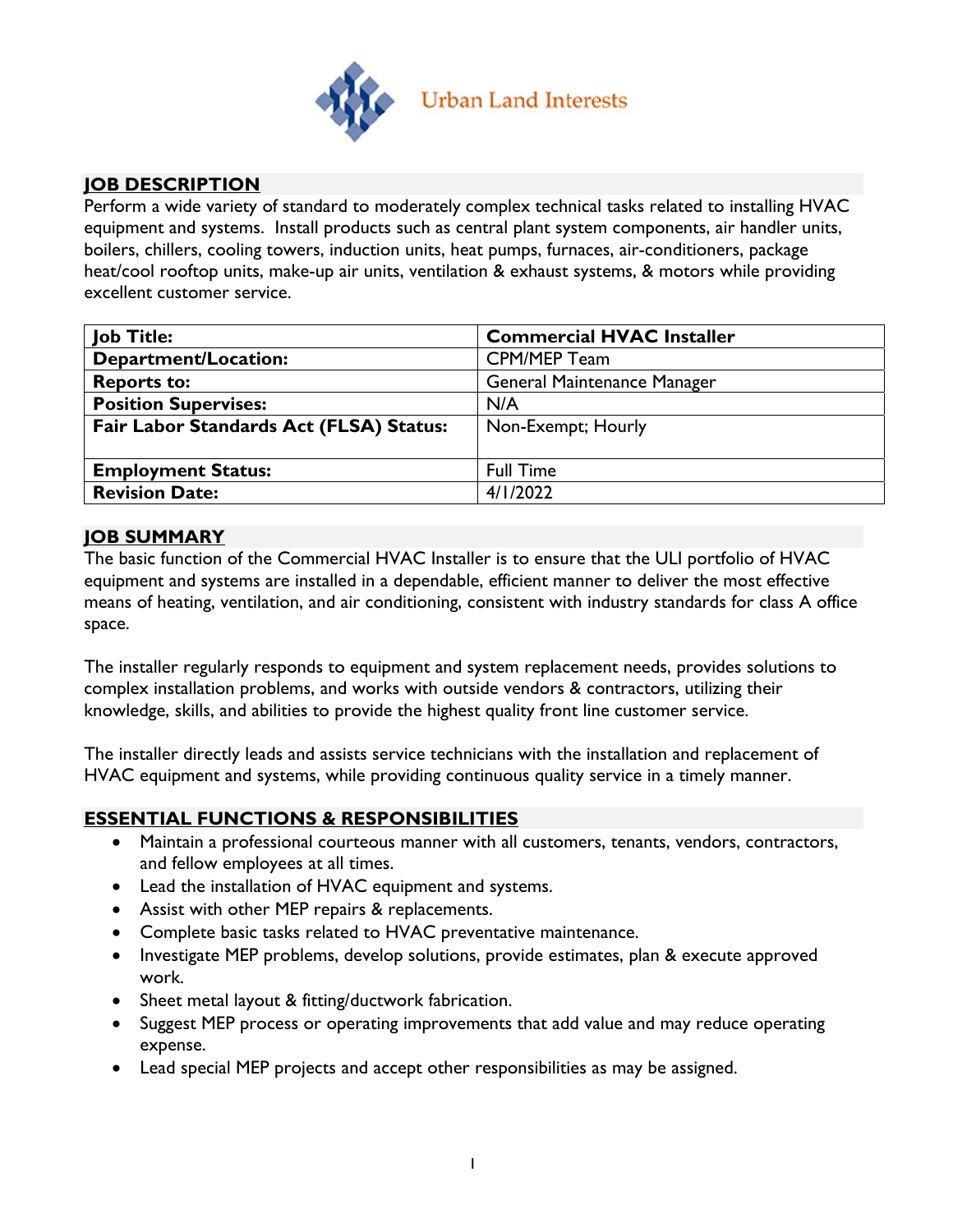

## **JOB DESCRIPTION**

Perform a wide variety of standard to moderately complex technical tasks related to installing HVAC equipment and systems. Install products such as central plant system components, air handler units, boilers, chillers, cooling towers, induction units, heat pumps, furnaces, air-conditioners, package heat/cool rooftop units, make-up air units, ventilation & exhaust systems, & motors while providing excellent customer service.

| <b>Job Title:</b>                       | <b>Commercial HVAC Installer</b>   |  |  |
|-----------------------------------------|------------------------------------|--|--|
| <b>Department/Location:</b>             | <b>CPM/MEP Team</b>                |  |  |
| <b>Reports to:</b>                      | <b>General Maintenance Manager</b> |  |  |
| <b>Position Supervises:</b>             | N/A                                |  |  |
| Fair Labor Standards Act (FLSA) Status: | Non-Exempt; Hourly                 |  |  |
|                                         |                                    |  |  |
| <b>Employment Status:</b>               | <b>Full Time</b>                   |  |  |
| <b>Revision Date:</b>                   | 4/1/2022                           |  |  |

#### **JOB SUMMARY**

The basic function of the Commercial HVAC Installer is to ensure that the ULI portfolio of HVAC equipment and systems are installed in a dependable, efficient manner to deliver the most effective means of heating, ventilation, and air conditioning, consistent with industry standards for class A office space.

The installer regularly responds to equipment and system replacement needs, provides solutions to complex installation problems, and works with outside vendors & contractors, utilizing their knowledge, skills, and abilities to provide the highest quality front line customer service.

The installer directly leads and assists service technicians with the installation and replacement of HVAC equipment and systems, while providing continuous quality service in a timely manner.

## **ESSENTIAL FUNCTIONS & RESPONSIBILITIES**

- Maintain a professional courteous manner with all customers, tenants, vendors, contractors, and fellow employees at all times.
- Lead the installation of HVAC equipment and systems.
- Assist with other MEP repairs & replacements.
- Complete basic tasks related to HVAC preventative maintenance.
- Investigate MEP problems, develop solutions, provide estimates, plan & execute approved work.
- Sheet metal layout & fitting/ductwork fabrication.
- Suggest MEP process or operating improvements that add value and may reduce operating expense.
- Lead special MEP projects and accept other responsibilities as may be assigned.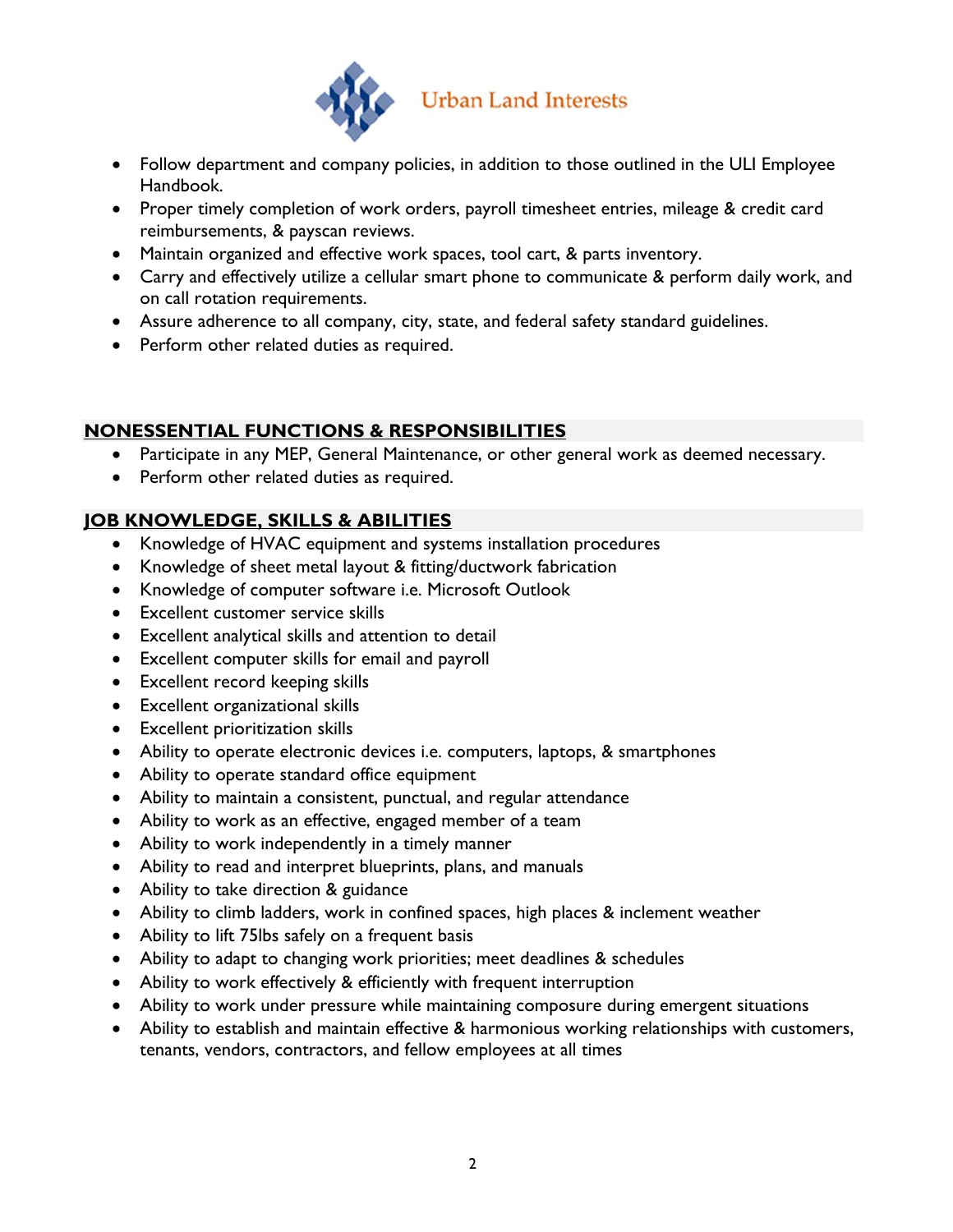

- Follow department and company policies, in addition to those outlined in the ULI Employee Handbook.
- Proper timely completion of work orders, payroll timesheet entries, mileage & credit card reimbursements, & payscan reviews.
- Maintain organized and effective work spaces, tool cart, & parts inventory.
- Carry and effectively utilize a cellular smart phone to communicate & perform daily work, and on call rotation requirements.
- Assure adherence to all company, city, state, and federal safety standard guidelines.
- Perform other related duties as required.

## **NONESSENTIAL FUNCTIONS & RESPONSIBILITIES**

- Participate in any MEP, General Maintenance, or other general work as deemed necessary.
- Perform other related duties as required.

# **JOB KNOWLEDGE, SKILLS & ABILITIES**

- Knowledge of HVAC equipment and systems installation procedures
- Knowledge of sheet metal layout & fitting/ductwork fabrication
- Knowledge of computer software i.e. Microsoft Outlook
- Excellent customer service skills
- Excellent analytical skills and attention to detail
- Excellent computer skills for email and payroll
- Excellent record keeping skills
- Excellent organizational skills
- Excellent prioritization skills
- Ability to operate electronic devices i.e. computers, laptops, & smartphones
- Ability to operate standard office equipment
- Ability to maintain a consistent, punctual, and regular attendance
- Ability to work as an effective, engaged member of a team
- Ability to work independently in a timely manner
- Ability to read and interpret blueprints, plans, and manuals
- Ability to take direction & guidance
- Ability to climb ladders, work in confined spaces, high places & inclement weather
- Ability to lift 75lbs safely on a frequent basis
- Ability to adapt to changing work priorities; meet deadlines & schedules
- Ability to work effectively & efficiently with frequent interruption
- Ability to work under pressure while maintaining composure during emergent situations
- Ability to establish and maintain effective & harmonious working relationships with customers, tenants, vendors, contractors, and fellow employees at all times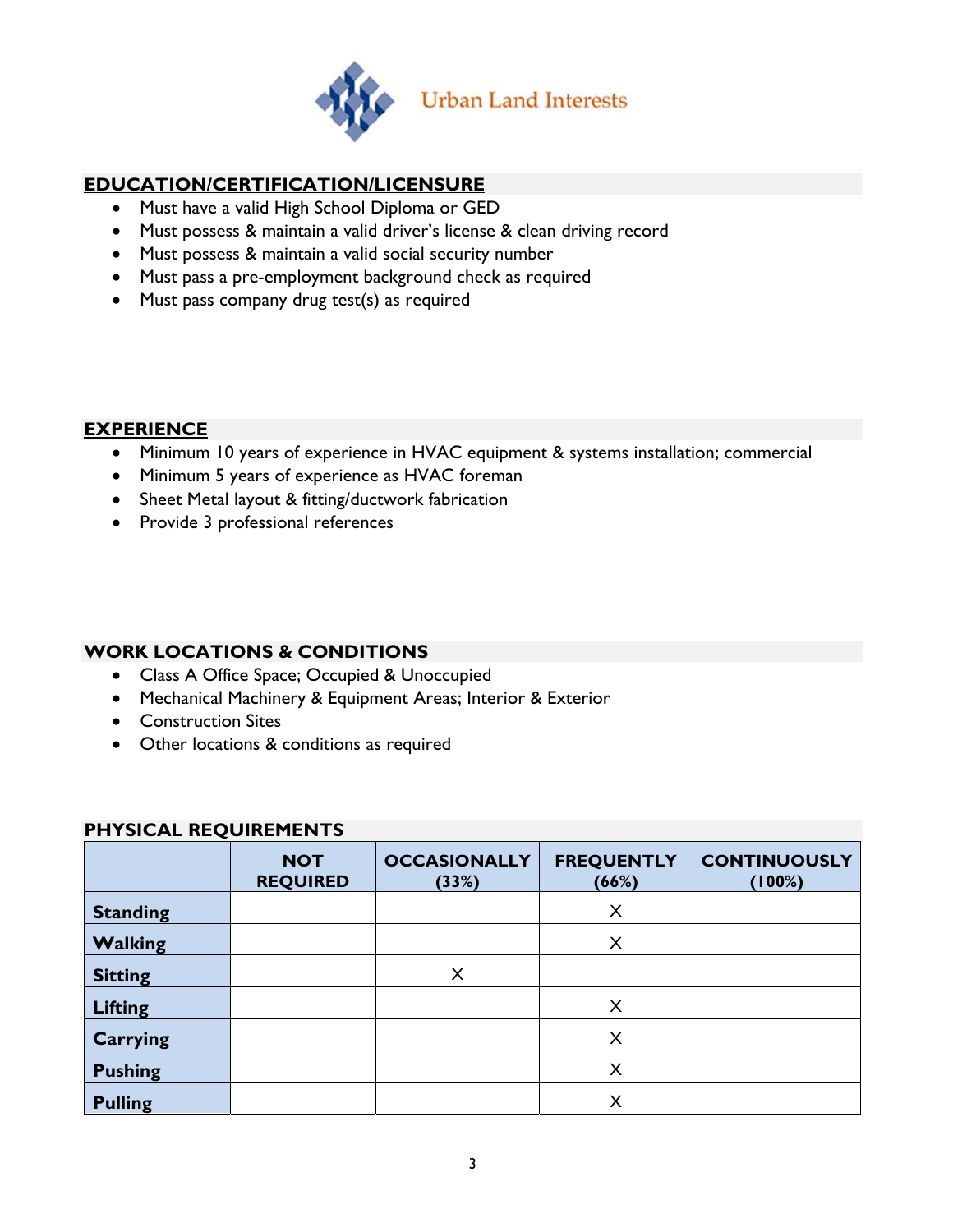

## **EDUCATION/CERTIFICATION/LICENSURE**

- Must have a valid High School Diploma or GED
- Must possess & maintain a valid driver's license & clean driving record
- Must possess & maintain a valid social security number
- Must pass a pre-employment background check as required
- Must pass company drug test(s) as required

#### **EXPERIENCE**

- Minimum 10 years of experience in HVAC equipment & systems installation; commercial
- Minimum 5 years of experience as HVAC foreman
- Sheet Metal layout & fitting/ductwork fabrication
- Provide 3 professional references

## **WORK LOCATIONS & CONDITIONS**

- Class A Office Space; Occupied & Unoccupied
- Mechanical Machinery & Equipment Areas; Interior & Exterior
- Construction Sites
- Other locations & conditions as required

| . 9.0AE REQUIRE: IER 1 9 |                               |                              |                            |                               |  |  |  |
|--------------------------|-------------------------------|------------------------------|----------------------------|-------------------------------|--|--|--|
|                          | <b>NOT</b><br><b>REQUIRED</b> | <b>OCCASIONALLY</b><br>(33%) | <b>FREQUENTLY</b><br>(66%) | <b>CONTINUOUSLY</b><br>(100%) |  |  |  |
| <b>Standing</b>          |                               |                              | X                          |                               |  |  |  |
| <b>Walking</b>           |                               |                              | X                          |                               |  |  |  |
| <b>Sitting</b>           |                               | X                            |                            |                               |  |  |  |
| <b>Lifting</b>           |                               |                              | $\times$                   |                               |  |  |  |
| Carrying                 |                               |                              | X                          |                               |  |  |  |
| <b>Pushing</b>           |                               |                              | X                          |                               |  |  |  |
| <b>Pulling</b>           |                               |                              | X                          |                               |  |  |  |

#### **PHYSICAL REQUIREMENTS**